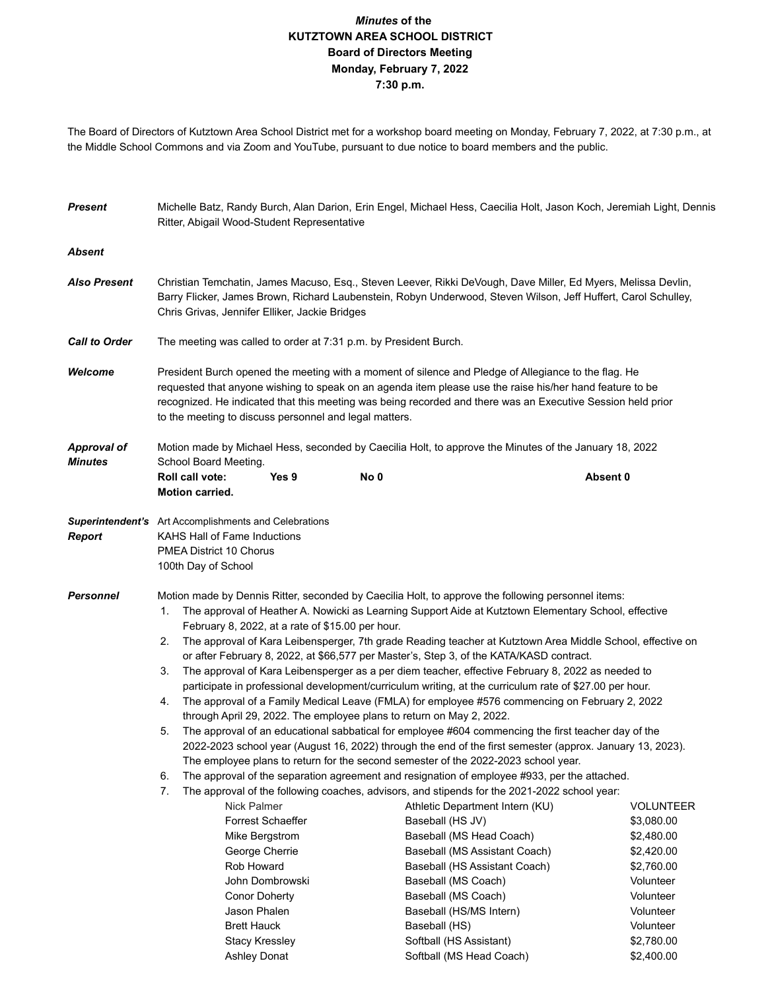## *Minutes* **of the KUTZTOWN AREA SCHOOL DISTRICT Board of Directors Meeting Monday, February 7, 2022 7:30 p.m.**

The Board of Directors of Kutztown Area School District met for a workshop board meeting on Monday, February 7, 2022, at 7:30 p.m., at the Middle School Commons and via Zoom and YouTube, pursuant to due notice to board members and the public.

| <b>Present</b>       | Michelle Batz, Randy Burch, Alan Darion, Erin Engel, Michael Hess, Caecilia Holt, Jason Koch, Jeremiah Light, Dennis<br>Ritter, Abigail Wood-Student Representative                                                                                                                                                                                                                       |                                                                                                                  |                                                                                                             |  |  |  |  |
|----------------------|-------------------------------------------------------------------------------------------------------------------------------------------------------------------------------------------------------------------------------------------------------------------------------------------------------------------------------------------------------------------------------------------|------------------------------------------------------------------------------------------------------------------|-------------------------------------------------------------------------------------------------------------|--|--|--|--|
| <b>Absent</b>        |                                                                                                                                                                                                                                                                                                                                                                                           |                                                                                                                  |                                                                                                             |  |  |  |  |
| <b>Also Present</b>  | Christian Temchatin, James Macuso, Esq., Steven Leever, Rikki DeVough, Dave Miller, Ed Myers, Melissa Devlin,<br>Barry Flicker, James Brown, Richard Laubenstein, Robyn Underwood, Steven Wilson, Jeff Huffert, Carol Schulley,<br>Chris Grivas, Jennifer Elliker, Jackie Bridges                                                                                                         |                                                                                                                  |                                                                                                             |  |  |  |  |
| <b>Call to Order</b> | The meeting was called to order at 7:31 p.m. by President Burch.                                                                                                                                                                                                                                                                                                                          |                                                                                                                  |                                                                                                             |  |  |  |  |
| Welcome              | President Burch opened the meeting with a moment of silence and Pledge of Allegiance to the flag. He<br>requested that anyone wishing to speak on an agenda item please use the raise his/her hand feature to be<br>recognized. He indicated that this meeting was being recorded and there was an Executive Session held prior<br>to the meeting to discuss personnel and legal matters. |                                                                                                                  |                                                                                                             |  |  |  |  |
| <b>Approval of</b>   | Motion made by Michael Hess, seconded by Caecilia Holt, to approve the Minutes of the January 18, 2022                                                                                                                                                                                                                                                                                    |                                                                                                                  |                                                                                                             |  |  |  |  |
| <b>Minutes</b>       | School Board Meeting.<br>Yes 9<br>Roll call vote:<br><b>Motion carried.</b>                                                                                                                                                                                                                                                                                                               | No 0                                                                                                             | Absent 0                                                                                                    |  |  |  |  |
| <b>Report</b>        | Superintendent's Art Accomplishments and Celebrations<br>KAHS Hall of Fame Inductions<br><b>PMEA District 10 Chorus</b><br>100th Day of School                                                                                                                                                                                                                                            |                                                                                                                  |                                                                                                             |  |  |  |  |
| <b>Personnel</b>     | Motion made by Dennis Ritter, seconded by Caecilia Holt, to approve the following personnel items:<br>The approval of Heather A. Nowicki as Learning Support Aide at Kutztown Elementary School, effective<br>1.<br>February 8, 2022, at a rate of \$15.00 per hour.                                                                                                                      |                                                                                                                  |                                                                                                             |  |  |  |  |
|                      | The approval of Kara Leibensperger, 7th grade Reading teacher at Kutztown Area Middle School, effective on<br>2.<br>or after February 8, 2022, at \$66,577 per Master's, Step 3, of the KATA/KASD contract.                                                                                                                                                                               |                                                                                                                  |                                                                                                             |  |  |  |  |
|                      | The approval of Kara Leibensperger as a per diem teacher, effective February 8, 2022 as needed to<br>3.<br>participate in professional development/curriculum writing, at the curriculum rate of \$27.00 per hour.                                                                                                                                                                        |                                                                                                                  |                                                                                                             |  |  |  |  |
|                      | The approval of a Family Medical Leave (FMLA) for employee #576 commencing on February 2, 2022<br>4.<br>through April 29, 2022. The employee plans to return on May 2, 2022.                                                                                                                                                                                                              |                                                                                                                  |                                                                                                             |  |  |  |  |
|                      | The approval of an educational sabbatical for employee #604 commencing the first teacher day of the<br>5.<br>2022-2023 school year (August 16, 2022) through the end of the first semester (approx. January 13, 2023).<br>The employee plans to return for the second semester of the 2022-2023 school year.                                                                              |                                                                                                                  |                                                                                                             |  |  |  |  |
|                      | The approval of the separation agreement and resignation of employee #933, per the attached.<br>6.                                                                                                                                                                                                                                                                                        |                                                                                                                  |                                                                                                             |  |  |  |  |
|                      | 7.<br>Nick Palmer<br><b>Forrest Schaeffer</b><br>Mike Bergstrom                                                                                                                                                                                                                                                                                                                           | The approval of the following coaches, advisors, and stipends for the 2021-2022 school year:<br>Baseball (HS JV) | Athletic Department Intern (KU)<br><b>VOLUNTEER</b><br>\$3,080.00<br>Baseball (MS Head Coach)<br>\$2,480.00 |  |  |  |  |
|                      | George Cherrie<br>Rob Howard<br>John Dombrowski                                                                                                                                                                                                                                                                                                                                           | Baseball (MS Coach)                                                                                              | Baseball (MS Assistant Coach)<br>\$2,420.00<br>Baseball (HS Assistant Coach)<br>\$2,760.00<br>Volunteer     |  |  |  |  |
|                      | <b>Conor Doherty</b><br>Jason Phalen                                                                                                                                                                                                                                                                                                                                                      | Baseball (MS Coach)                                                                                              | Volunteer<br>Baseball (HS/MS Intern)<br>Volunteer                                                           |  |  |  |  |
|                      | <b>Brett Hauck</b><br><b>Stacy Kressley</b>                                                                                                                                                                                                                                                                                                                                               | Baseball (HS)<br>Softball (HS Assistant)                                                                         | Volunteer<br>\$2,780.00                                                                                     |  |  |  |  |

Ashley Donat Softball (MS Head Coach) \$2,400.00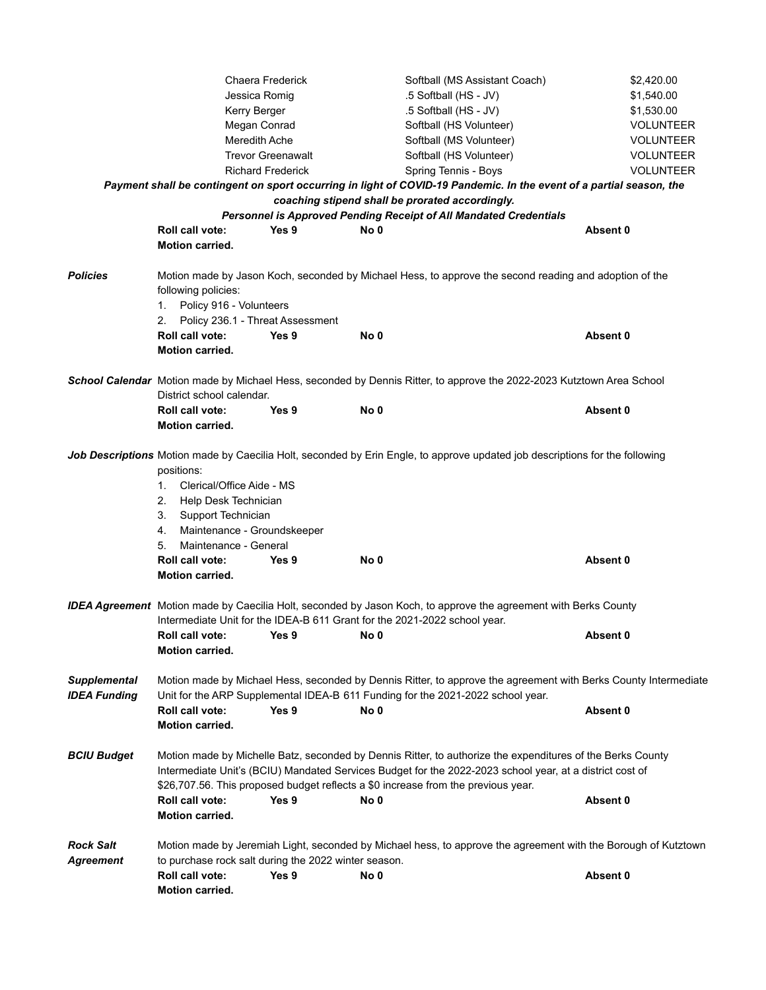|                                            | Jessica Romig<br>Kerry Berger<br>Megan Conrad<br><b>Meredith Ache</b>                                                                                                                                           | Chaera Frederick<br><b>Trevor Greenawalt</b> |      | Softball (MS Assistant Coach)<br>.5 Softball (HS - JV)<br>.5 Softball (HS - JV)<br>Softball (HS Volunteer)<br>Softball (MS Volunteer)<br>Softball (HS Volunteer)                                                                                                                                            | \$2,420.00<br>\$1,540.00<br>\$1,530.00<br><b>VOLUNTEER</b><br><b>VOLUNTEER</b><br><b>VOLUNTEER</b> |  |
|--------------------------------------------|-----------------------------------------------------------------------------------------------------------------------------------------------------------------------------------------------------------------|----------------------------------------------|------|-------------------------------------------------------------------------------------------------------------------------------------------------------------------------------------------------------------------------------------------------------------------------------------------------------------|----------------------------------------------------------------------------------------------------|--|
| <b>Richard Frederick</b>                   |                                                                                                                                                                                                                 |                                              |      | Spring Tennis - Boys                                                                                                                                                                                                                                                                                        | <b>VOLUNTEER</b>                                                                                   |  |
|                                            |                                                                                                                                                                                                                 |                                              |      | Payment shall be contingent on sport occurring in light of COVID-19 Pandemic. In the event of a partial season, the                                                                                                                                                                                         |                                                                                                    |  |
|                                            |                                                                                                                                                                                                                 |                                              |      | coaching stipend shall be prorated accordingly.<br><b>Personnel is Approved Pending Receipt of All Mandated Credentials</b>                                                                                                                                                                                 |                                                                                                    |  |
|                                            | <b>Roll call vote:</b>                                                                                                                                                                                          | Yes 9                                        | No 0 |                                                                                                                                                                                                                                                                                                             | Absent 0                                                                                           |  |
|                                            | Motion carried.                                                                                                                                                                                                 |                                              |      |                                                                                                                                                                                                                                                                                                             |                                                                                                    |  |
|                                            |                                                                                                                                                                                                                 |                                              |      |                                                                                                                                                                                                                                                                                                             |                                                                                                    |  |
| <b>Policies</b>                            | following policies:<br>1. Policy 916 - Volunteers<br>2. Policy 236.1 - Threat Assessment                                                                                                                        |                                              |      | Motion made by Jason Koch, seconded by Michael Hess, to approve the second reading and adoption of the                                                                                                                                                                                                      |                                                                                                    |  |
|                                            | Roll call vote:                                                                                                                                                                                                 | Yes 9                                        | No 0 |                                                                                                                                                                                                                                                                                                             | Absent 0                                                                                           |  |
|                                            | Motion carried.                                                                                                                                                                                                 |                                              |      |                                                                                                                                                                                                                                                                                                             |                                                                                                    |  |
|                                            |                                                                                                                                                                                                                 |                                              |      |                                                                                                                                                                                                                                                                                                             |                                                                                                    |  |
|                                            | District school calendar.                                                                                                                                                                                       |                                              |      | School Calendar Motion made by Michael Hess, seconded by Dennis Ritter, to approve the 2022-2023 Kutztown Area School                                                                                                                                                                                       |                                                                                                    |  |
|                                            | Roll call vote:                                                                                                                                                                                                 | Yes 9                                        | No 0 |                                                                                                                                                                                                                                                                                                             | Absent 0                                                                                           |  |
|                                            | <b>Motion carried.</b>                                                                                                                                                                                          |                                              |      |                                                                                                                                                                                                                                                                                                             |                                                                                                    |  |
|                                            | positions:<br>Clerical/Office Aide - MS<br>1.<br>2. Help Desk Technician<br>3. Support Technician<br>4. Maintenance - Groundskeeper<br>Maintenance - General<br>5.<br>Roll call vote:<br><b>Motion carried.</b> | Yes 9                                        | No 0 | Job Descriptions Motion made by Caecilia Holt, seconded by Erin Engle, to approve updated job descriptions for the following                                                                                                                                                                                | Absent 0                                                                                           |  |
|                                            | Intermediate Unit for the IDEA-B 611 Grant for the 2021-2022 school year.<br>Roll call vote:<br><b>Motion carried.</b>                                                                                          | Yes 9                                        | No 0 | <b>IDEA Agreement</b> Motion made by Caecilia Holt, seconded by Jason Koch, to approve the agreement with Berks County                                                                                                                                                                                      | Absent 0                                                                                           |  |
| <b>Supplemental</b><br><b>IDEA Funding</b> | Roll call vote:<br>Motion carried.                                                                                                                                                                              | Yes 9                                        | No 0 | Motion made by Michael Hess, seconded by Dennis Ritter, to approve the agreement with Berks County Intermediate<br>Unit for the ARP Supplemental IDEA-B 611 Funding for the 2021-2022 school year.                                                                                                          | Absent 0                                                                                           |  |
| <b>BCIU Budget</b>                         | Roll call vote:<br>Motion carried.                                                                                                                                                                              | Yes 9                                        | No 0 | Motion made by Michelle Batz, seconded by Dennis Ritter, to authorize the expenditures of the Berks County<br>Intermediate Unit's (BCIU) Mandated Services Budget for the 2022-2023 school year, at a district cost of<br>\$26,707.56. This proposed budget reflects a \$0 increase from the previous year. | Absent 0                                                                                           |  |
| <b>Rock Salt</b>                           | Motion made by Jeremiah Light, seconded by Michael hess, to approve the agreement with the Borough of Kutztown                                                                                                  |                                              |      |                                                                                                                                                                                                                                                                                                             |                                                                                                    |  |
| <b>Agreement</b>                           | to purchase rock salt during the 2022 winter season.                                                                                                                                                            |                                              |      |                                                                                                                                                                                                                                                                                                             |                                                                                                    |  |
|                                            | Roll call vote:<br>Motion carried.                                                                                                                                                                              | Yes 9                                        | No 0 |                                                                                                                                                                                                                                                                                                             | Absent 0                                                                                           |  |